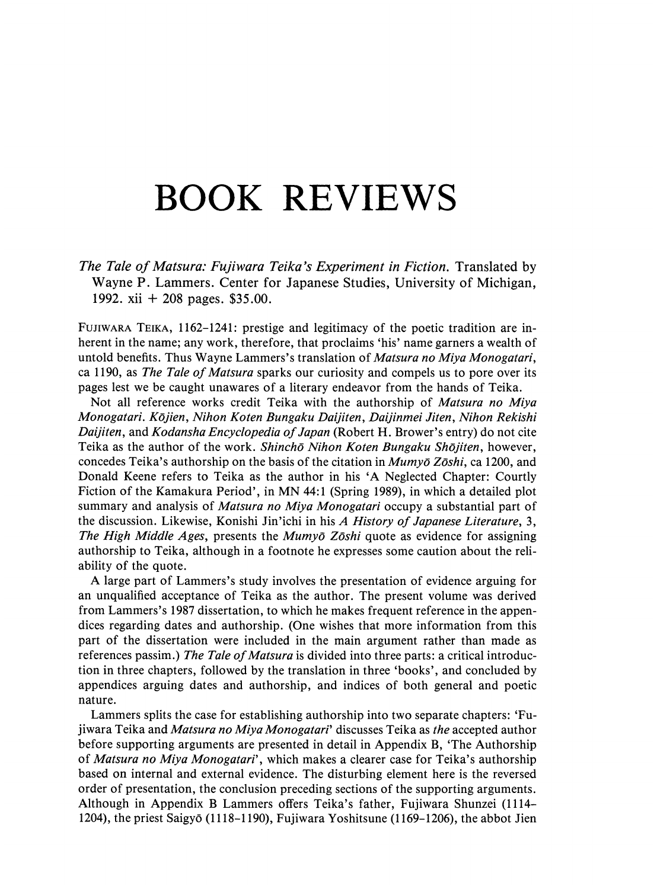## BOOK REVIEWS

The Tale of Matsura: Fujiwara Teika's Experiment in Fiction. Translated by Wayne P. Lammers. Center for Japanese Studies, University of Michigan, 1992. xii + 208 pages. \$35.00.

FUJIWARA TEIKA, 1162-1241: prestige and legitimacy of the poetic tradition are inherent in the name; any work, therefore, that proclaims 'his' namegarners a wealth of untold benefits. Thus Wayne Lammers's translation of *Matsura no Miya Monogatari*, ca 1190, as The Tale of Matsura sparks our curiosity and compels us to pore overits pages lest we be caught unawares of a literary endeavor from the hands of Teika.

Not all reference works credit Teika with the authorship of *Matsura no Miya* Monogatari. Kojien, Nihon Koten Bungaku Daijiten, Daijinmei Jiten, Nihon Rekishi Daijiten, and Kodansha Encyclopedia of Japan (Robert H. Brower's entry) do not cite Teika as the author of the work. Shinchō Nihon Koten Bungaku Shōjiten, however, concedes Teika's authorship on the basis of the citation in *Mumvo Zoshi*, ca 1200, and Donald Keene refers to Teika as the author in his 'A Neglected Chapter: Courtly Fiction of the Kamakura Period', in MN 44:1 (Spring 1989), in which <sup>a</sup> detailed plot summary and analysis of *Matsura no Miya Monogatari* occupy a substantial part of the discussion. Likewise, Konishi Jin'ichi in his A History of Japanese Literature, 3, The High Middle Ages, presents the Mumyō Zōshi quote as evidence for assigning authorship to Teika, although in a footnote he expresses some caution about the reliability of the quote.

A large part of Lammers's study involves the presentation of evidence arguing for an unqualified acceptance of Teika as the author. The present volume was derived from Lammers's 1987 dissertation, to which he makes frequent reference in the appendices regarding dates and authorship. (One wishes that more information from this part of the dissertation were included in the main argument rather than made as references passim.) The Tale of Matsura is divided into three parts: a critical introduction in three chapters, followed by the translation in three 'books', and concluded by appendices arguing dates and authorship, and indices of both general and poetic nature.

Lammers splits the case for establishing authorship into two separate chapters: 'Fujiwara Teika and Matsura no Miya Monogatari' discusses Teika as the accepted author jiwara Teika and *Mutsuru no Miya Monogatari* discusses Teika as *ine* accepted author<br>before supporting arguments are presented in detail in Appendix B, 'The Authorship<br>of *Matsura no Miya Monogatari'*, which makes a clea based on internal and external evidence. The disturbing element here is the reversed order of presentation, the conclusion preceding sections of the supporting arguments. Although in Appendix B Lammers offers Teika's father, Fujiwara Shunzei (1114- 1204), the priest Saigy6 (1118-1190), Fujiwara Yoshitsune (1169-1206), the abbot Jien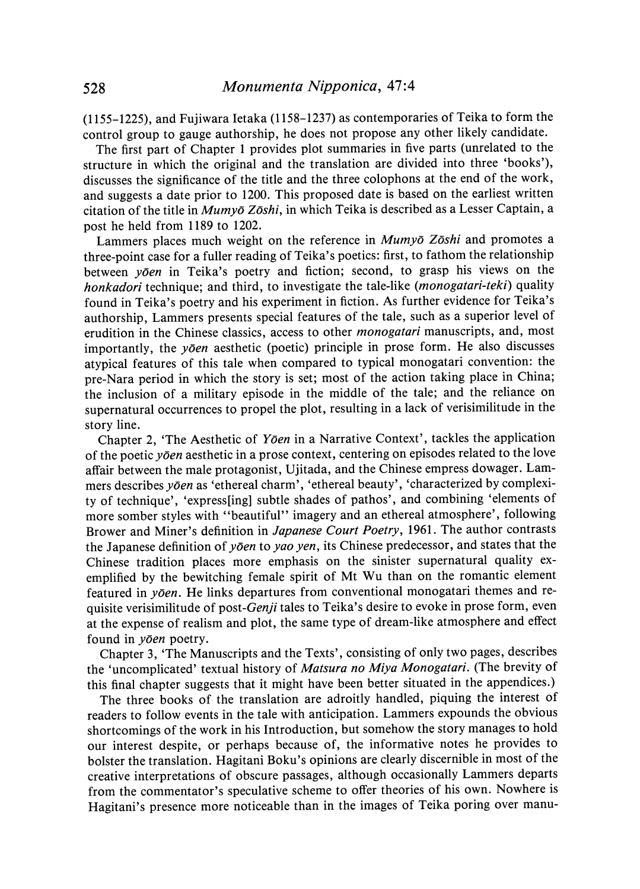(1155-1225), and Fujiwara Ietaka (1158-1237) as contemporaries of Teika to form the control group to gauge authorship, he does not propose any other likely candidate.

The first part of Chapter 1 provides plot summaries in five parts (unrelated to the structure in which the original and the translation are divided into three "books'), discusses the significance of the title and the three colophons at the end of the work, and suggests a date prior to 1200. This proposed date is based on the earliest written citation of the title in  $Mumy\bar{o} Z\bar{o}shi$ , in which Teika is described as a Lesser Captain, a post he held from 1189 to 1202.

Lammers places much weight on the reference in Mumyō Zōshi and promotes a three-point case for a fuller reading of Teika's poetics: first, to fathom the relationship between  $y\bar{o}en$  in Teika's poetry and fiction; second, to grasp his views on the honkadori technique; and third, to investigate the tale-like (*monogatari-teki*) quality found in Teika's poetry and his experiment in fiction. As further evidence for Teika's authorship, Lammers presents special features of the tale, such as a superior level of erudition in the Chinese classics, access to other monogatari manuscripts, and, most importantly, the  $y\bar{o}en$  aesthetic (poetic) principle in prose form. He also discusses atypical features of this tale when compared to typical monogatari convention: the pre-Nara period in which the story is set; most of the action taking place in China; the inclusion of a military episode in the middle of the tale; and the reliance on supernatural occurrences to propel the plot, resulting in a lack of verisimilitude in the story line.

Chapter 2, 'The Aesthetic of Yoen in a Narrative Context', tackles the application of the poetic  $y\bar{o}en$  aesthetic in a prose context, centering on episodes related to the love affair between the male protagonist, Ujitada, and the Chinese empress dowager. Lammers describes yoen as 'ethereal charm', 'ethereal beauty', 'characterized by complexity of technique', 'express[ing] subtle shades of pathos', and combining 'elements of more somber styles with "beautiful" imagery and an ethereal atmosphere', following Brower and Miner's definition in Japanese Court Poetry, 1961. The author contrasts the Japanese definition of yoen to yao yen, its Chinese predecessor, and states that the Chinese tradition places more emphasis on the sinister supernatural quality exemplified by the bewitching female spirit of Mt Wu than on the romantic element featured in  $y\bar{o}en$ . He links departures from conventional monogatari themes and requisite verisimilitude of post-Genji tales to Teika's desire to evoke in prose form, even at the expense of realism and plot, the same type of dream-like atmosphere and effect found in yoen poetry.

Chapter 3, 'The Manuscripts and the Texts', consisting of only two pages, describes the 'uncomplicated' textual history of Matsura no Miya Monogatari. (The brevity of this final chapter suggests that it might have been better situated in the appendices.)

The three books of the translation are adroitly handled, piquing the interest of readers to follow events in the tale with anticipation. Lammers expounds the obvious shortcomings of the work in his Introduction, but somehow the story manages to hold our interest despite, or perhaps because of, the informative notes he provides to bolster the translation. Hagitani Boku's opinionsare clearly discernible in mostof the creative interpretations of obscure passages, although occasionally Lammers departs from the commentator's speculative scheme to offer theories of his own. Nowhere is Hagitani's presence more noticeable than in the images of Teika poring over manu